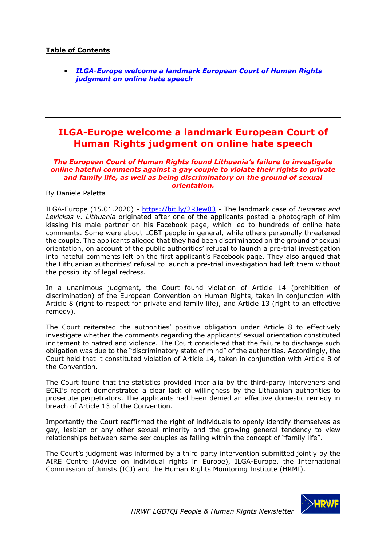## **Table of Contents**

• *ILGA-Europe welcome a landmark European Court of Human Rights judgment on online hate speech*

## **ILGA-Europe welcome a landmark European Court of Human Rights judgment on online hate speech**

*The European Court of Human Rights found Lithuania's failure to investigate online hateful comments against a gay couple to violate their rights to private and family life, as well as being discriminatory on the ground of sexual orientation.*

By Daniele Paletta

ILGA-Europe (15.01.2020) - https://bit.ly/2RJew03 - The landmark case of *Beizaras and Levickas v. Lithuania* originated after one of the applicants posted a photograph of him kissing his male partner on his Facebook page, which led to hundreds of online hate comments. Some were about LGBT people in general, while others personally threatened the couple. The applicants alleged that they had been discriminated on the ground of sexual orientation, on account of the public authorities' refusal to launch a pre-trial investigation into hateful comments left on the first applicant's Facebook page. They also argued that the Lithuanian authorities' refusal to launch a pre-trial investigation had left them without the possibility of legal redress.

In a unanimous judgment, the Court found violation of Article 14 (prohibition of discrimination) of the European Convention on Human Rights, taken in conjunction with Article 8 (right to respect for private and family life), and Article 13 (right to an effective remedy).

The Court reiterated the authorities' positive obligation under Article 8 to effectively investigate whether the comments regarding the applicants' sexual orientation constituted incitement to hatred and violence. The Court considered that the failure to discharge such obligation was due to the "discriminatory state of mind" of the authorities. Accordingly, the Court held that it constituted violation of Article 14, taken in conjunction with Article 8 of the Convention.

The Court found that the statistics provided inter alia by the third-party interveners and ECRI's report demonstrated a clear lack of willingness by the Lithuanian authorities to prosecute perpetrators. The applicants had been denied an effective domestic remedy in breach of Article 13 of the Convention.

Importantly the Court reaffirmed the right of individuals to openly identify themselves as gay, lesbian or any other sexual minority and the growing general tendency to view relationships between same-sex couples as falling within the concept of "family life".

The Court's judgment was informed by a third party intervention submitted jointly by the AIRE Centre (Advice on individual rights in Europe), ILGA-Europe, the International Commission of Jurists (ICJ) and the Human Rights Monitoring Institute (HRMI).